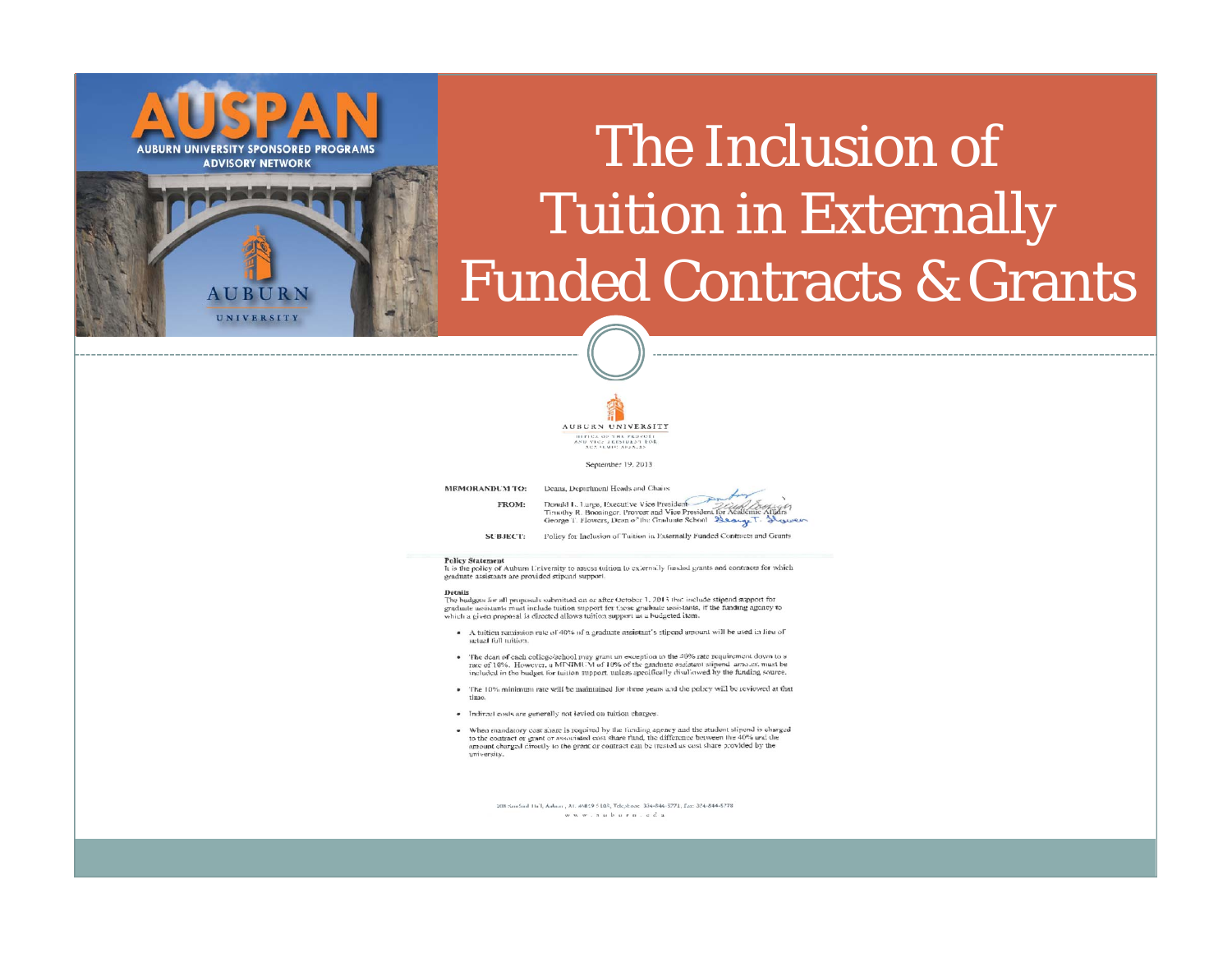## The Inclusion of Tuition in Externally Funded Contracts & Grants



September 19, 2013

MEMORANDUM TO: Deans, Department Heads and Chairs FROM:

Donald L. Large, Executive Vice President Donald L. Lurge, Executive Vice President<br>Timothy R. Boosinger. Provost and Vice President for Academic George T. Flowers, Dean of the Graduate School Beauge T. However

SUBJECT: Policy for Inclusion of Tuition in Externally Funded Contracts and Grants

#### **Policy Statement**

It is the policy of Aubum University to assess tuition to externally funded grants and contracts for which graduate assistants are provided stipend support.

#### Details

**AUBURN UNIVERSITY SPONSORED PROGRAMS ADVISORY NETWORK** 

> **AUBURN** UNIVERSITY

> > Details<br>The budgets for all proposals submitted on or after October 1, 2013 that include stipend support for<br>graduate assistants must include tuition support for those graduate assistants, if the funding agency to which a given proposal is directed allows tuition support as a budgeted item.

- · A tuition remission rate of 40% of a graduate assistant's stipend amount will be used in lieu of aglazi full mition.
- The dean of each college/school may grant an exception to the 40% rate requirement down to a rate of 10%. However, a MINIMUM of 10% of the graduate assistant stipend arrount must be included in the budget for tuition support, unless specifically disaliowed by the funding source.
- · The 10% minimum rate will be maintained for three years and the policy will be reviewed at that
- · Indirect costs are generally not levied on tuition charges.
- When mandatory coat abanc is required by the funding agency and the student stipend is charged<br>to the contract or grant or associated cost share fund, the difference between the 40% and the<br>amount charged directly to the university.

208 Semand Holl, Autom., At. 84019 5108, Telephone. 334-844-5771, Eax: 324-844-5778. www.nuburn.cda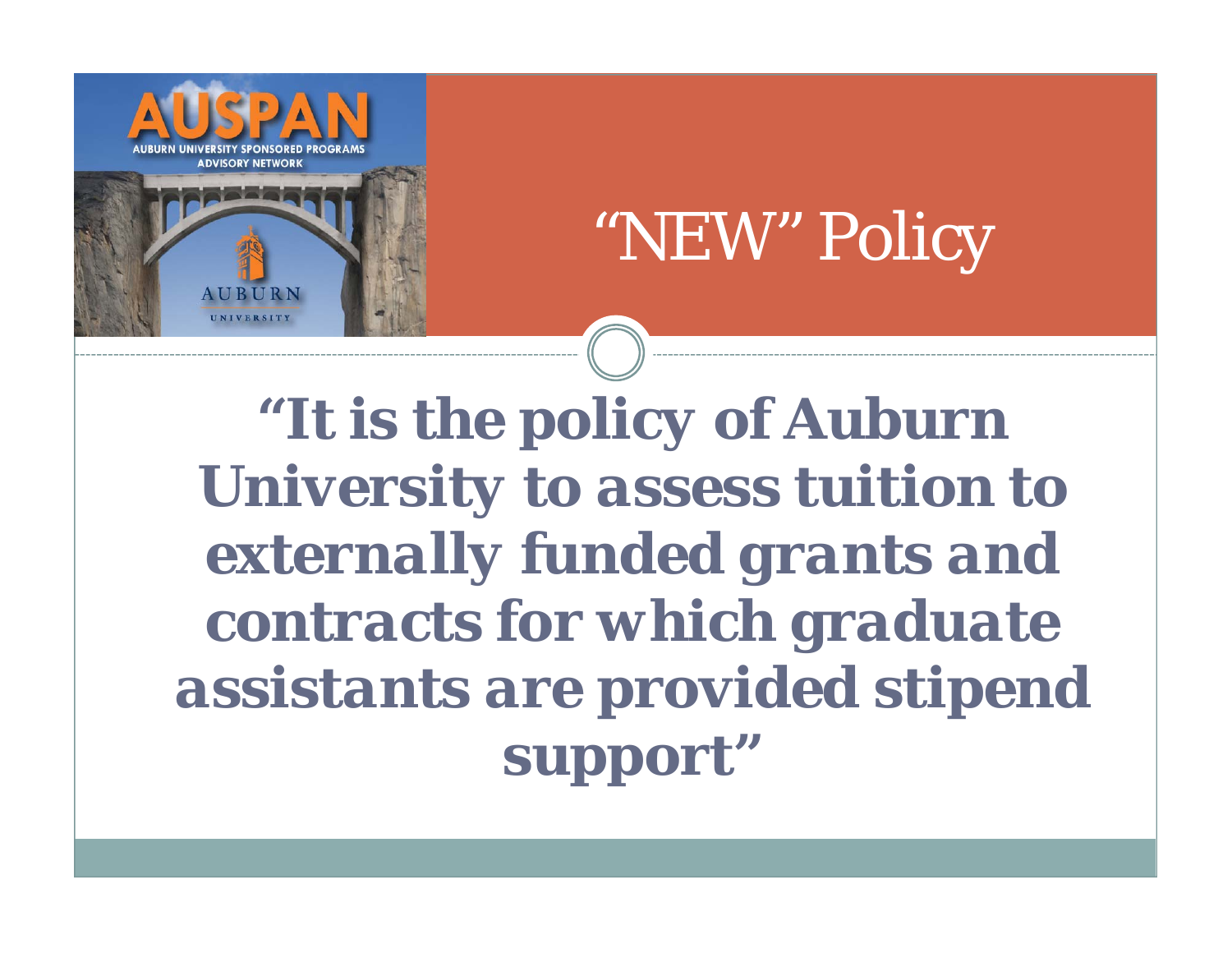



**"***It is the policy of Auburn University to assess tuition to externally funded grants and contracts for which graduate assistants are provided stipend support* **"**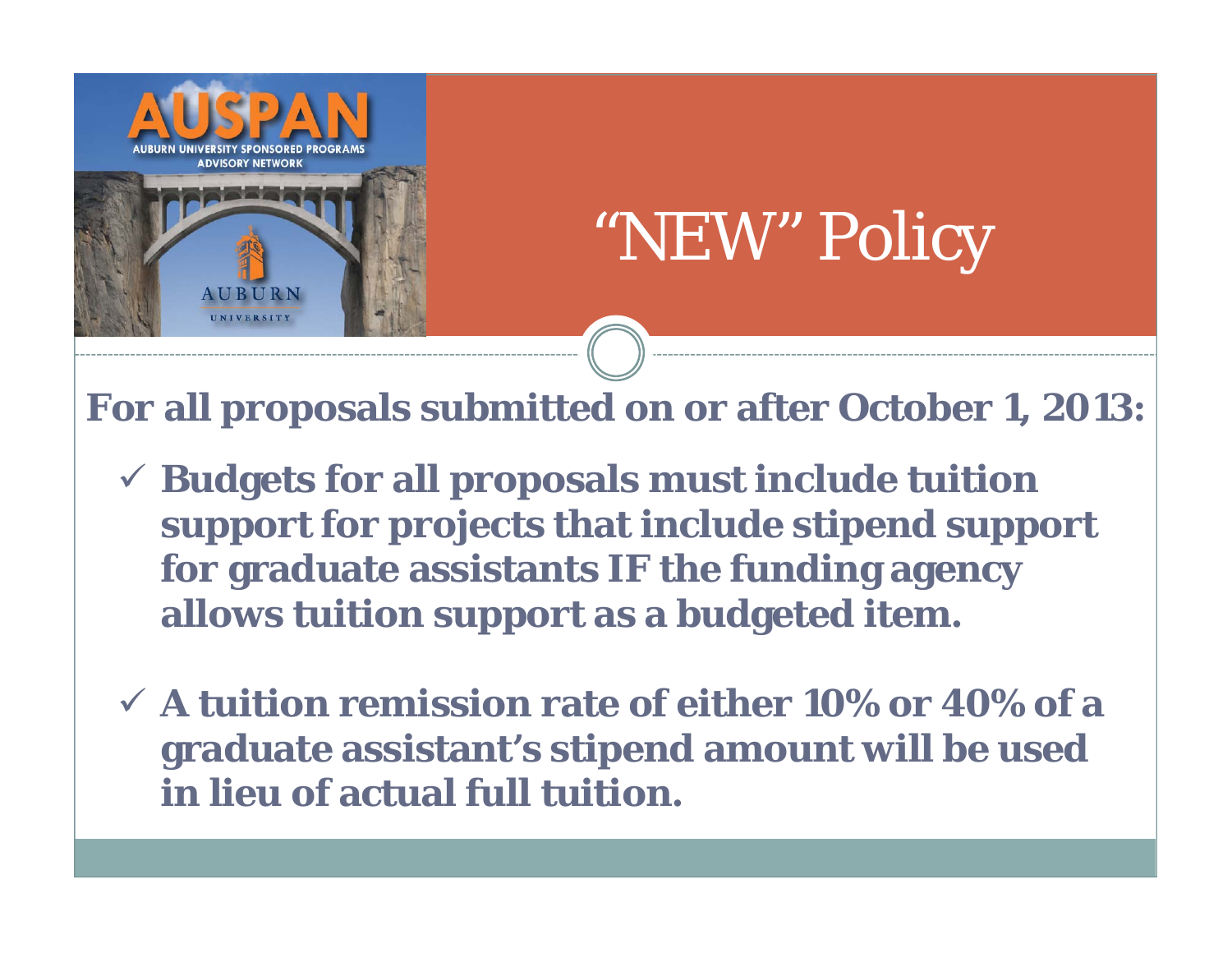

# "NEW" Policy

**For all proposals submitted on or after October 1, 2013:**

- **Budgets for all proposals must include tuition support for projects that include stipend support for graduate assistants IF the funding agency allows tuition support as a budgeted item.**
- **A tuition remission rate of either 10% or 40% of a graduate assistant's stipend amount will be used in lieu of actual full tuition.**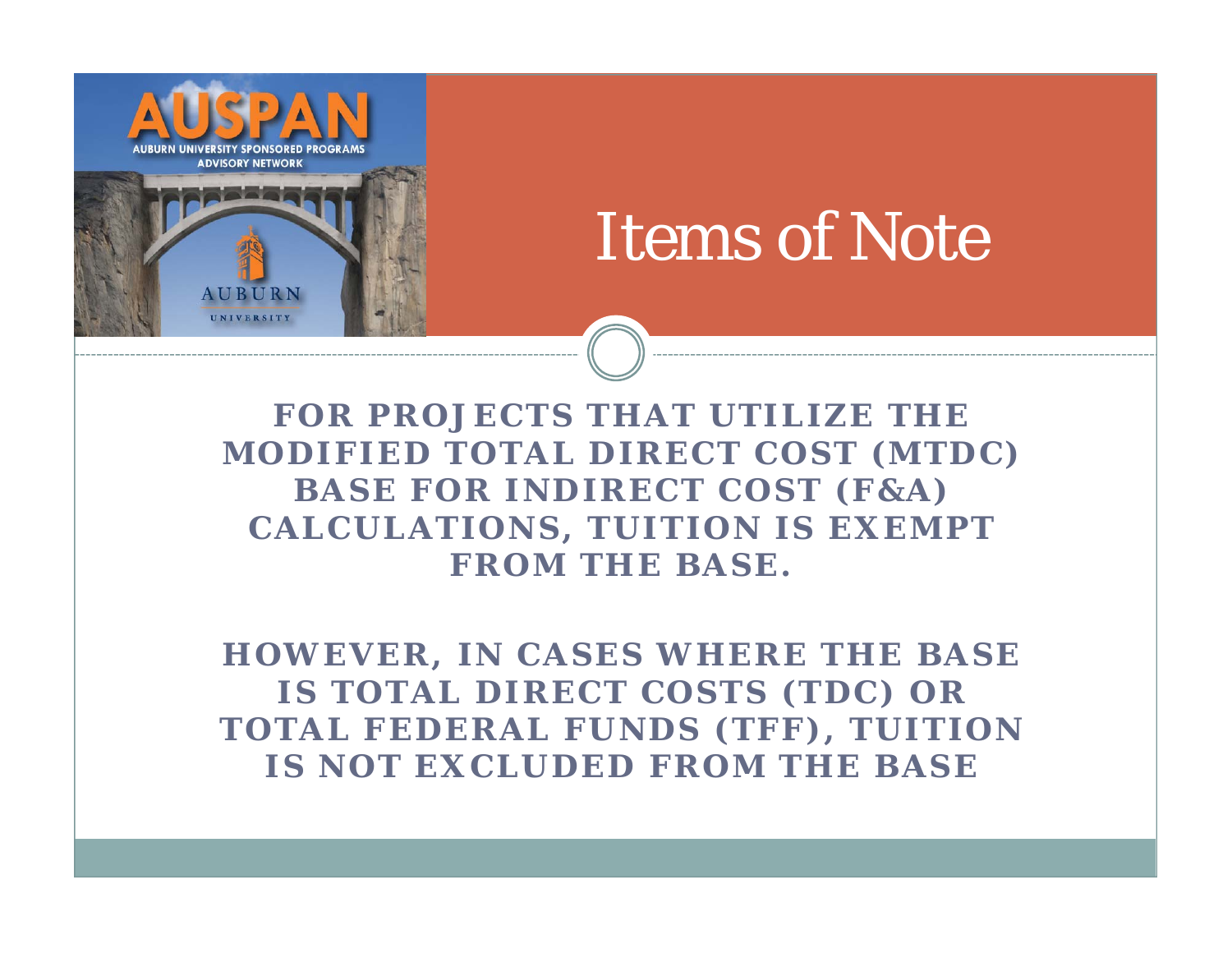

## Items of Note

**FOR PROJECTS THAT UTILIZE THE MODIFIED TOTAL DIRECT COST (MTDC) BASE FOR INDIRECT COST (F&A) CALCULATIONS, TUITION IS EXEMPT FROM THE BASE.**

**HOWEVER, IN CASES WHERE THE BASE IS TOTAL DIRECT COSTS (TDC) OR TOTAL FEDERAL FUNDS (TFF), TUITION IS NOT EXCLUDED FROM THE BASE**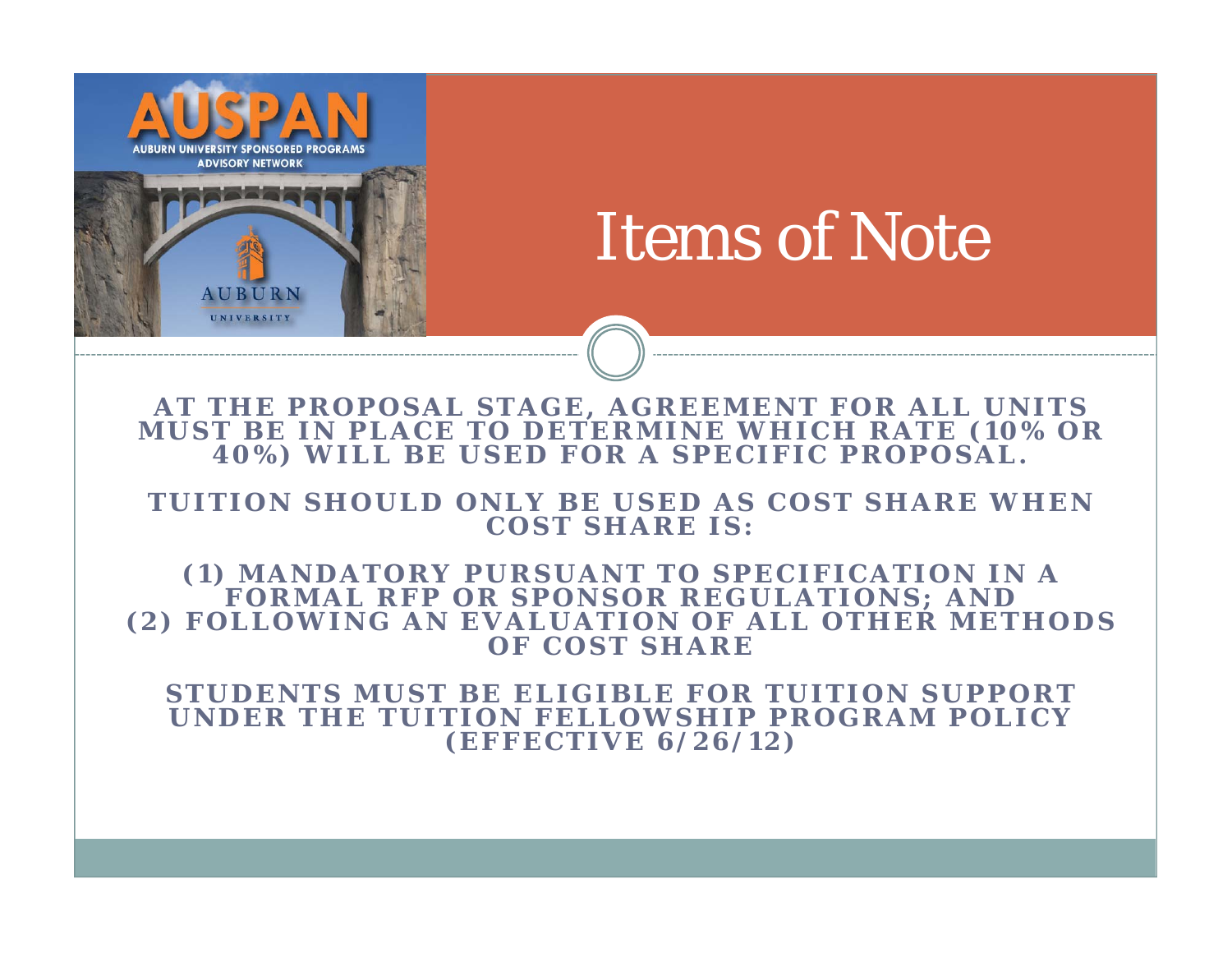

## Items of Note

**AT THE PROPOSAL STAGE, AGREEMENT FOR ALL UNITS MUST BE IN PLACE TO DETE RMINE WHICH RATE (10% OR 40%) WILL BE USED FOR A SPECIFIC PROPOSAL.**

#### TUITION SHOULD ONLY BE USED AS COST SHARE WHEN **COST SHARE IS:**

#### **(1) MANDATORY PURSUANT TO SPECIFICATION IN A FORMAL RFP OR SPONSOR REGULATIONS; AND (2) FOLLOWING AN EVALUATION OF ALL OTHER METHODS OF COST SHARE**

**STUDENTS MUST BE ELIGIB LE FOR TUITION SUPPORT UNDER THE** *TUITION FELLOWSHIP PROGRAM POLICY***(EFFECTIVE 6/26/12)**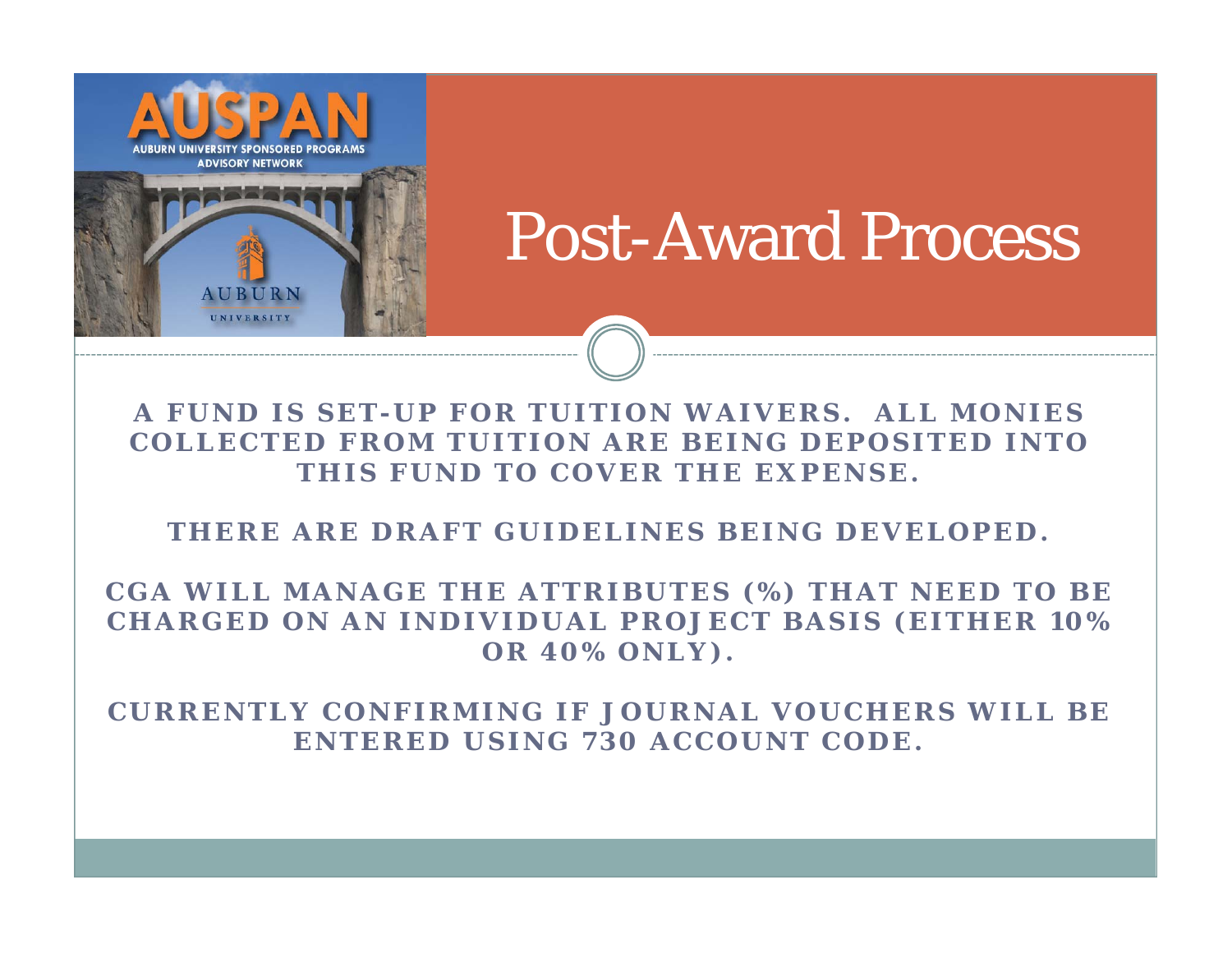

## Post-Award Process

**A FUND IS SET-UP FOR TUITION WAIVERS. ALL MONIES COLLECTED FROM TUITION ARE BEING DEPOSITED INTO THIS FUND TO COVER THE EXPENSE.** 

**THERE ARE DRAFT GUIDELINES BEING DEVELOPED.** 

**CGA WILL MANAGE THE ATTRIBUTES (%) THAT NEED TO BE CHARGED ON AN INDIVIDUAL PROJECT BASIS (EITHER 10% OR 40% ONLY).**

**CURRENTLY CONFIRMING IF JOURNAL VOUCHERS WILL BE ENTERED USING 730 ACCOUNT CODE.**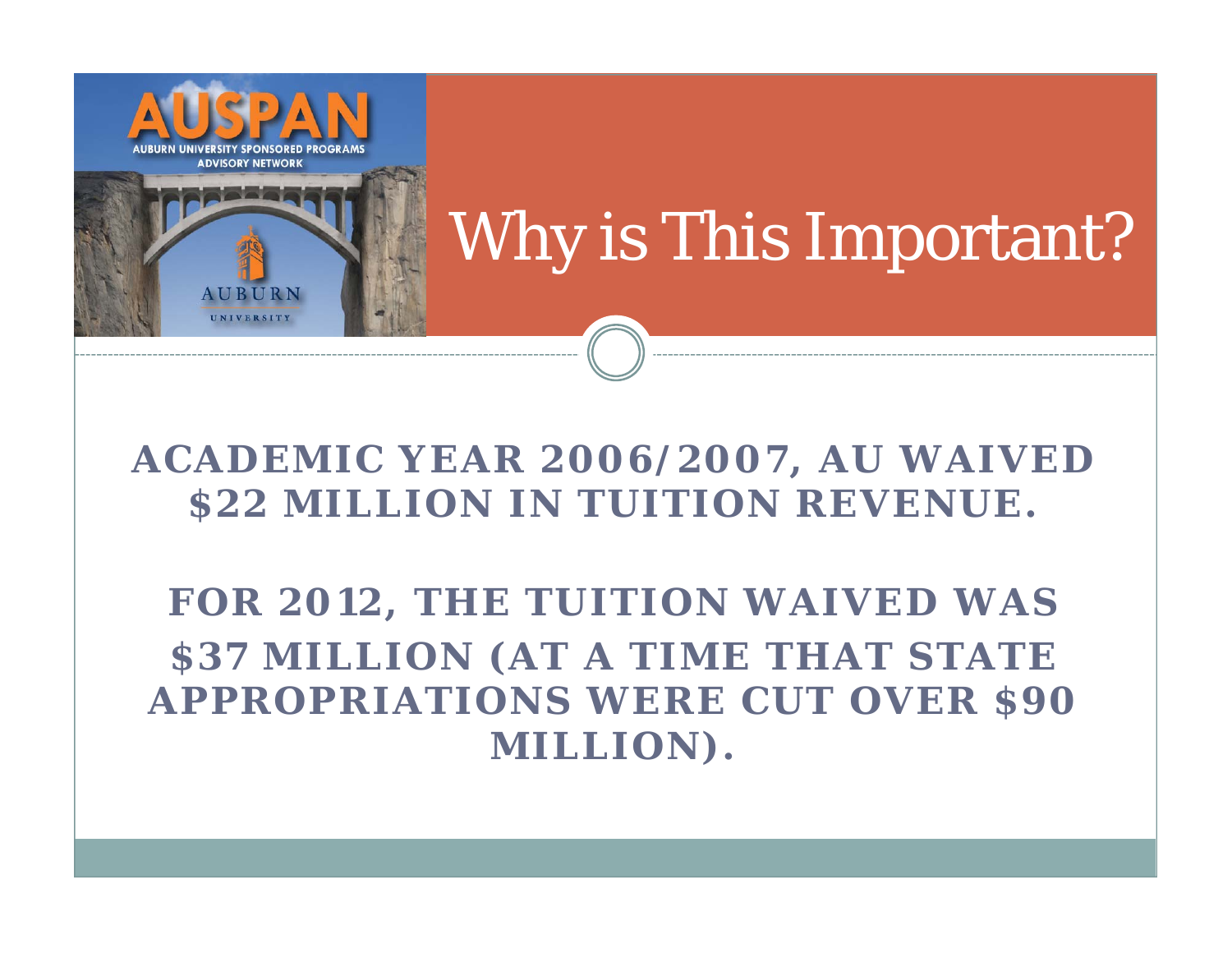

# Why is This Important?

#### **ACADEMIC YEAR 2006/2007, AU WAIVED \$22 MILLION IN TUITION REVENUE.**

**FOR 2012, THE TUITION WAIVED WAS \$37 MILLION (AT A TIME THAT STATE APPROPRIATIONS WERE CUT OVER \$90 MILLION).**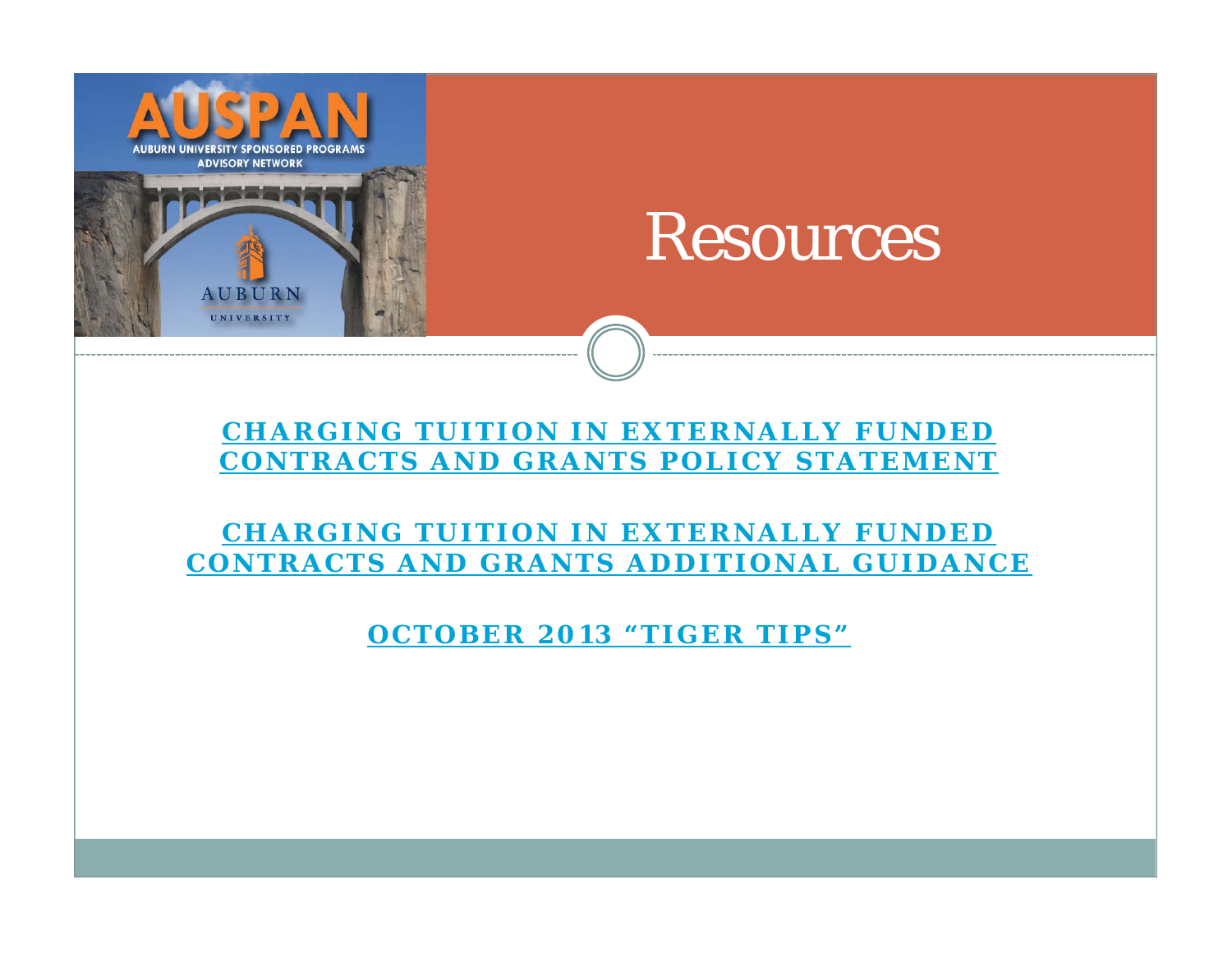

### Resources

#### **CHARGING TUITION IN EXTERNALLY FUNDED CONTRACTS AND GRANTS POLICY STATEMENT**

#### **CHARGING TUITION IN EXTERNALLY FUNDED CONTRACTS AND GRANTS ADDITIONAL GUIDANCE**

**OCTOBER 2013 "TIGER TIPS"**